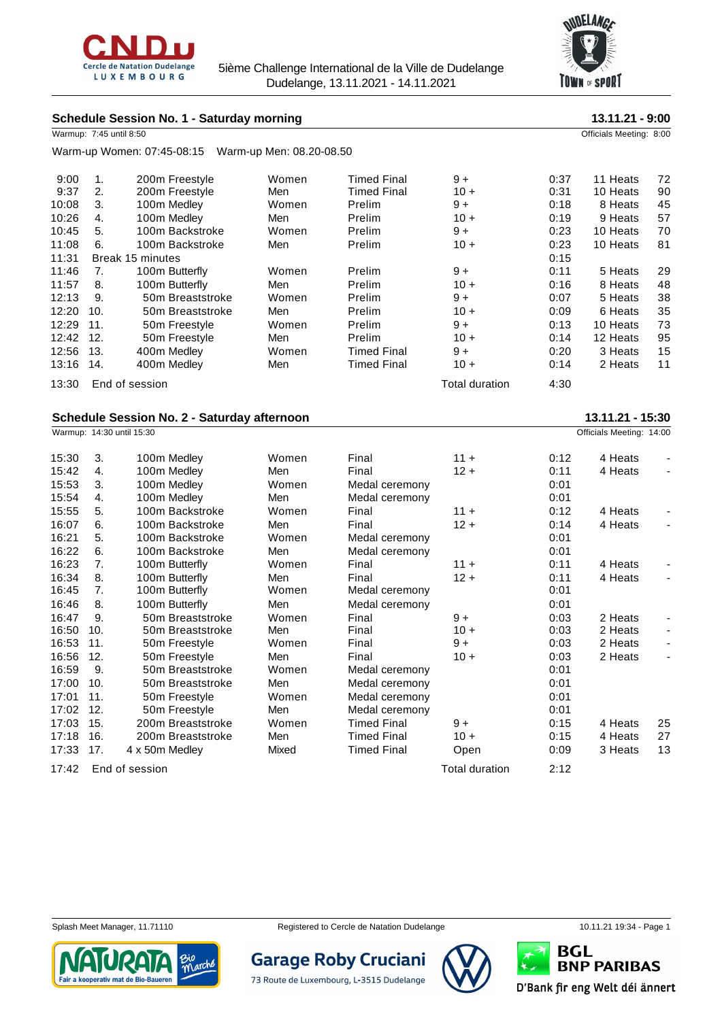

5ième Challenge International de la Ville de Dudelange Dudelange, 13.11.2021 - 14.11.2021



# **Schedule Session No. 1 - Saturday morning 13.11.21 - 9:00**

|       | Warmup: 7:45 until 8:50 |                            |                          |                    |                       |      | Officials Meeting: 8:00 |    |
|-------|-------------------------|----------------------------|--------------------------|--------------------|-----------------------|------|-------------------------|----|
|       |                         | Warm-up Women: 07:45-08:15 | Warm-up Men: 08.20-08.50 |                    |                       |      |                         |    |
| 9:00  | 1.                      | 200m Freestyle             | Women                    | <b>Timed Final</b> | $9+$                  | 0:37 | 11 Heats                | 72 |
| 9:37  | 2.                      | 200m Freestyle             | Men                      | Timed Final        | $10 +$                | 0:31 | 10 Heats                | 90 |
| 10:08 | 3.                      | 100m Medley                | Women                    | Prelim             | $9+$                  | 0:18 | 8 Heats                 | 45 |
| 10:26 | 4.                      | 100m Medley                | Men                      | Prelim             | $10 +$                | 0:19 | 9 Heats                 | 57 |
| 10:45 | 5.                      | 100m Backstroke            | Women                    | Prelim             | $9+$                  | 0:23 | 10 Heats                | 70 |
| 11:08 | 6.                      | 100m Backstroke            | Men                      | Prelim             | $10 +$                | 0:23 | 10 Heats                | 81 |
| 11:31 |                         | Break 15 minutes           |                          | 0:15               |                       |      |                         |    |
| 11:46 | 7.                      | 100m Butterfly             | Women                    | Prelim             | $9+$                  | 0:11 | 5 Heats                 | 29 |
| 11:57 | 8.                      | 100m Butterfly             | Men                      | Prelim             | $10 +$                | 0:16 | 8 Heats                 | 48 |
| 12:13 | 9.                      | 50m Breaststroke           | Women                    | Prelim             | $9+$                  | 0:07 | 5 Heats                 | 38 |
| 12:20 | 10.                     | 50m Breaststroke           | Men                      | Prelim             | $10 +$                | 0:09 | 6 Heats                 | 35 |
| 12:29 | 11.                     | 50 <sub>m</sub> Freestyle  | Women                    | Prelim             | $9+$                  | 0:13 | 10 Heats                | 73 |
| 12:42 | 12.                     | 50 <sub>m</sub> Freestyle  | Men                      | Prelim             | $10 +$                | 0:14 | 12 Heats                | 95 |
| 12:56 | 13.                     | 400m Medley                | Women                    | Timed Final        | $9+$                  | 0:20 | 3 Heats                 | 15 |
| 13:16 | 14.                     | 400m Medley                | Men                      | <b>Timed Final</b> | $10 +$                | 0:14 | 2 Heats                 | 11 |
| 13:30 |                         | End of session             |                          |                    | <b>Total duration</b> | 4:30 |                         |    |
|       |                         |                            |                          |                    |                       |      |                         |    |

## **Schedule Session No. 2 - Saturday afternoon 13.11.21 - 15:30**

|       |     | Warmup: 14:30 until 15:30 |       |                    |                       |      | Officials Meeting: 14:00 |                          |
|-------|-----|---------------------------|-------|--------------------|-----------------------|------|--------------------------|--------------------------|
| 15:30 | 3.  | 100m Medley               | Women | Final              | $11 +$                | 0:12 | 4 Heats                  |                          |
| 15:42 | 4.  | 100m Medley               | Men   | Final              | $12 +$                | 0:11 | 4 Heats                  | $\blacksquare$           |
| 15:53 | 3.  | 100m Medley               | Women | Medal ceremony     |                       | 0:01 |                          |                          |
| 15:54 | 4.  | 100m Medley               | Men   | Medal ceremony     |                       | 0:01 |                          |                          |
| 15:55 | 5.  | 100m Backstroke           | Women | Final              | $11 +$                | 0:12 | 4 Heats                  |                          |
| 16:07 | 6.  | 100m Backstroke           | Men   | Final              | $12 +$                | 0:14 | 4 Heats                  |                          |
| 16:21 | 5.  | 100m Backstroke           | Women | Medal ceremony     |                       | 0:01 |                          |                          |
| 16:22 | 6.  | 100m Backstroke           | Men   | Medal ceremony     |                       | 0:01 |                          |                          |
| 16:23 | 7.  | 100m Butterfly            | Women | Final              | $11 +$                | 0:11 | 4 Heats                  |                          |
| 16:34 | 8.  | 100m Butterfly            | Men   | Final              | $12 +$                | 0:11 | 4 Heats                  |                          |
| 16:45 | 7.  | 100m Butterfly            | Women | Medal ceremony     |                       | 0:01 |                          |                          |
| 16:46 | 8.  | 100m Butterfly            | Men   | Medal ceremony     |                       | 0:01 |                          |                          |
| 16:47 | 9.  | 50m Breaststroke          | Women | Final              | $9+$                  | 0:03 | 2 Heats                  |                          |
| 16:50 | 10. | 50m Breaststroke          | Men   | Final              | $10 +$                | 0:03 | 2 Heats                  |                          |
| 16:53 | 11. | 50m Freestyle             | Women | Final              | $9+$                  | 0:03 | 2 Heats                  | $\overline{\phantom{a}}$ |
| 16:56 | 12. | 50m Freestyle             | Men   | Final              | $10 +$                | 0:03 | 2 Heats                  | $\overline{\phantom{0}}$ |
| 16:59 | 9.  | 50m Breaststroke          | Women | Medal ceremony     |                       | 0:01 |                          |                          |
| 17:00 | 10. | 50m Breaststroke          | Men   | Medal ceremony     |                       | 0:01 |                          |                          |
| 17:01 | 11. | 50m Freestyle             | Women | Medal ceremony     |                       | 0:01 |                          |                          |
| 17:02 | 12. | 50m Freestyle             | Men   | Medal ceremony     |                       | 0:01 |                          |                          |
| 17:03 | 15. | 200m Breaststroke         | Women | <b>Timed Final</b> | $9+$                  | 0:15 | 4 Heats                  | 25                       |
| 17:18 | 16. | 200m Breaststroke         | Men   | <b>Timed Final</b> | $10 +$                | 0:15 | 4 Heats                  | 27                       |
| 17:33 | 17. | 4 x 50m Medley            | Mixed | <b>Timed Final</b> | Open                  | 0:09 | 3 Heats                  | 13                       |
| 17:42 |     | End of session            |       |                    | <b>Total duration</b> | 2:12 |                          |                          |



Splash Meet Manager, 11.71110 Registered to Cercle de Natation Dudelange 10.11.21 19:34 - Page 1

**Garage Roby Cruciani** 

73 Route de Luxembourg, L-3515 Dudelange



**BNP PARIBAS** ¥ u D'Bank fir eng Welt déi ännert

**BGL**